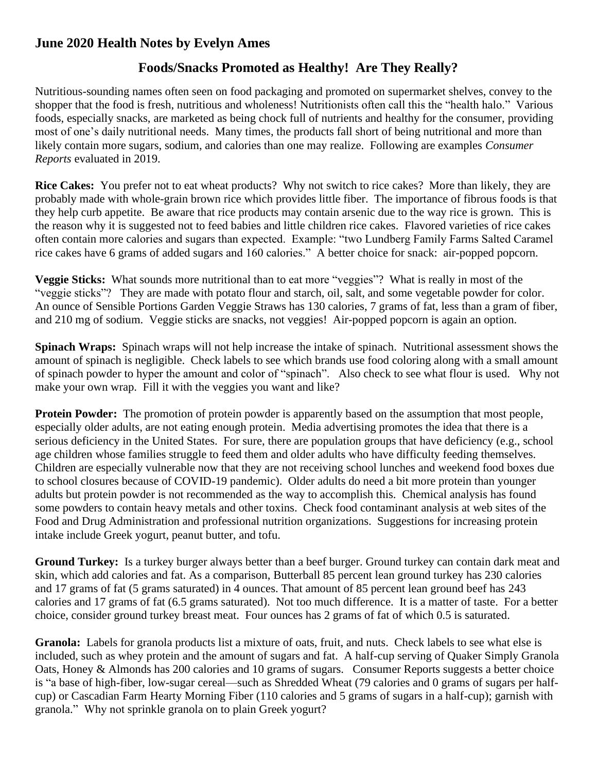## **June 2020 Health Notes by Evelyn Ames**

## **Foods/Snacks Promoted as Healthy! Are They Really?**

Nutritious-sounding names often seen on food packaging and promoted on supermarket shelves, convey to the shopper that the food is fresh, nutritious and wholeness! Nutritionists often call this the "health halo." Various foods, especially snacks, are marketed as being chock full of nutrients and healthy for the consumer, providing most of one's daily nutritional needs. Many times, the products fall short of being nutritional and more than likely contain more sugars, sodium, and calories than one may realize. Following are examples *Consumer Reports* evaluated in 2019.

**Rice Cakes:** You prefer not to eat wheat products? Why not switch to rice cakes? More than likely, they are probably made with whole-grain brown rice which provides little fiber. The importance of fibrous foods is that they help curb appetite. Be aware that rice products may contain arsenic due to the way rice is grown. This is the reason why it is suggested not to feed babies and little children rice cakes. Flavored varieties of rice cakes often contain more calories and sugars than expected. Example: "two Lundberg Family Farms Salted Caramel rice cakes have 6 grams of added sugars and 160 calories." A better choice for snack: air-popped popcorn.

**Veggie Sticks:** What sounds more nutritional than to eat more "veggies"? What is really in most of the "veggie sticks"? They are made with potato flour and starch, oil, salt, and some vegetable powder for color. An ounce of Sensible Portions Garden Veggie Straws has 130 calories, 7 grams of fat, less than a gram of fiber, and 210 mg of sodium. Veggie sticks are snacks, not veggies! Air-popped popcorn is again an option.

**Spinach Wraps:** Spinach wraps will not help increase the intake of spinach. Nutritional assessment shows the amount of spinach is negligible. Check labels to see which brands use food coloring along with a small amount of spinach powder to hyper the amount and color of "spinach". Also check to see what flour is used. Why not make your own wrap. Fill it with the veggies you want and like?

**Protein Powder:** The promotion of protein powder is apparently based on the assumption that most people, especially older adults, are not eating enough protein. Media advertising promotes the idea that there is a serious deficiency in the United States. For sure, there are population groups that have deficiency (e.g., school age children whose families struggle to feed them and older adults who have difficulty feeding themselves. Children are especially vulnerable now that they are not receiving school lunches and weekend food boxes due to school closures because of COVID-19 pandemic). Older adults do need a bit more protein than younger adults but protein powder is not recommended as the way to accomplish this. Chemical analysis has found some powders to contain heavy metals and other toxins. Check food contaminant analysis at web sites of the Food and Drug Administration and professional nutrition organizations. Suggestions for increasing protein intake include Greek yogurt, peanut butter, and tofu.

**Ground Turkey:** Is a turkey burger always better than a beef burger. Ground turkey can contain dark meat and skin, which add calories and fat. As a comparison, Butterball 85 percent lean ground turkey has 230 calories and 17 grams of fat (5 grams saturated) in 4 ounces. That amount of 85 percent lean ground beef has 243 calories and 17 grams of fat (6.5 grams saturated). Not too much difference. It is a matter of taste. For a better choice, consider ground turkey breast meat. Four ounces has 2 grams of fat of which 0.5 is saturated.

**Granola:** Labels for granola products list a mixture of oats, fruit, and nuts. Check labels to see what else is included, such as whey protein and the amount of sugars and fat. A half-cup serving of Quaker Simply Granola Oats, Honey & Almonds has 200 calories and 10 grams of sugars. Consumer Reports suggests a better choice is "a base of high-fiber, low-sugar cereal—such as Shredded Wheat (79 calories and 0 grams of sugars per halfcup) or Cascadian Farm Hearty Morning Fiber (110 calories and 5 grams of sugars in a half-cup); garnish with granola." Why not sprinkle granola on to plain Greek yogurt?